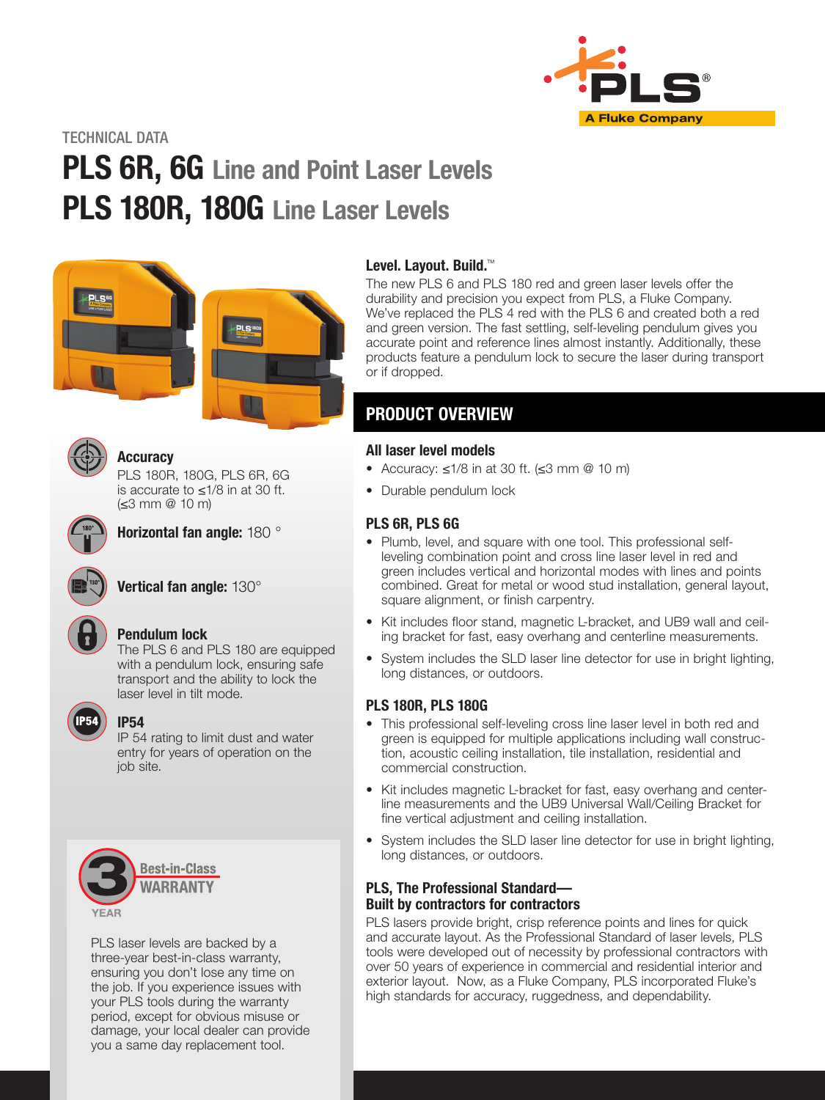

TECHNICAL DATA

# PLS 6R, 6G Line and Point Laser Levels PLS 180R, 180G Line Laser Levels





#### Accuracy

PLS 180R, 180G, PLS 6R, 6G is accurate to ≤1/8 in at 30 ft. (≤3 mm @ 10 m)



Horizontal fan angle: 180 °



## Vertical fan angle: 130°



### Pendulum lock

The PLS 6 and PLS 180 are equipped with a pendulum lock, ensuring safe transport and the ability to lock the laser level in tilt mode.



#### IP54

IP 54 rating to limit dust and water entry for years of operation on the job site.



PLS laser levels are backed by a three-year best-in-class warranty, ensuring you don't lose any time on the job. If you experience issues with your PLS tools during the warranty period, except for obvious misuse or damage, your local dealer can provide you a same day replacement tool.

#### Level. Layout. Build.<sup>™</sup>

The new PLS 6 and PLS 180 red and green laser levels offer the durability and precision you expect from PLS, a Fluke Company. We've replaced the PLS 4 red with the PLS 6 and created both a red and green version. The fast settling, self-leveling pendulum gives you accurate point and reference lines almost instantly. Additionally, these products feature a pendulum lock to secure the laser during transport or if dropped.

# PRODUCT OVERVIEW

#### All laser level models

- Accuracy: ≤1/8 in at 30 ft. (≤3 mm @ 10 m)
- Durable pendulum lock

### PLS 6R, PLS 6G

- Plumb, level, and square with one tool. This professional selfleveling combination point and cross line laser level in red and green includes vertical and horizontal modes with lines and points combined. Great for metal or wood stud installation, general layout, square alignment, or finish carpentry.
- Kit includes floor stand, magnetic L-bracket, and UB9 wall and ceiling bracket for fast, easy overhang and centerline measurements.
- System includes the SLD laser line detector for use in bright lighting, long distances, or outdoors.

### PLS 180R, PLS 180G

- This professional self-leveling cross line laser level in both red and green is equipped for multiple applications including wall construction, acoustic ceiling installation, tile installation, residential and commercial construction.
- Kit includes magnetic L-bracket for fast, easy overhang and centerline measurements and the UB9 Universal Wall/Ceiling Bracket for fine vertical adjustment and ceiling installation.
- System includes the SLD laser line detector for use in bright lighting, long distances, or outdoors.

#### PLS, The Professional Standard— Built by contractors for contractors

PLS lasers provide bright, crisp reference points and lines for quick and accurate layout. As the Professional Standard of laser levels, PLS tools were developed out of necessity by professional contractors with over 50 years of experience in commercial and residential interior and exterior layout. Now, as a Fluke Company, PLS incorporated Fluke's high standards for accuracy, ruggedness, and dependability.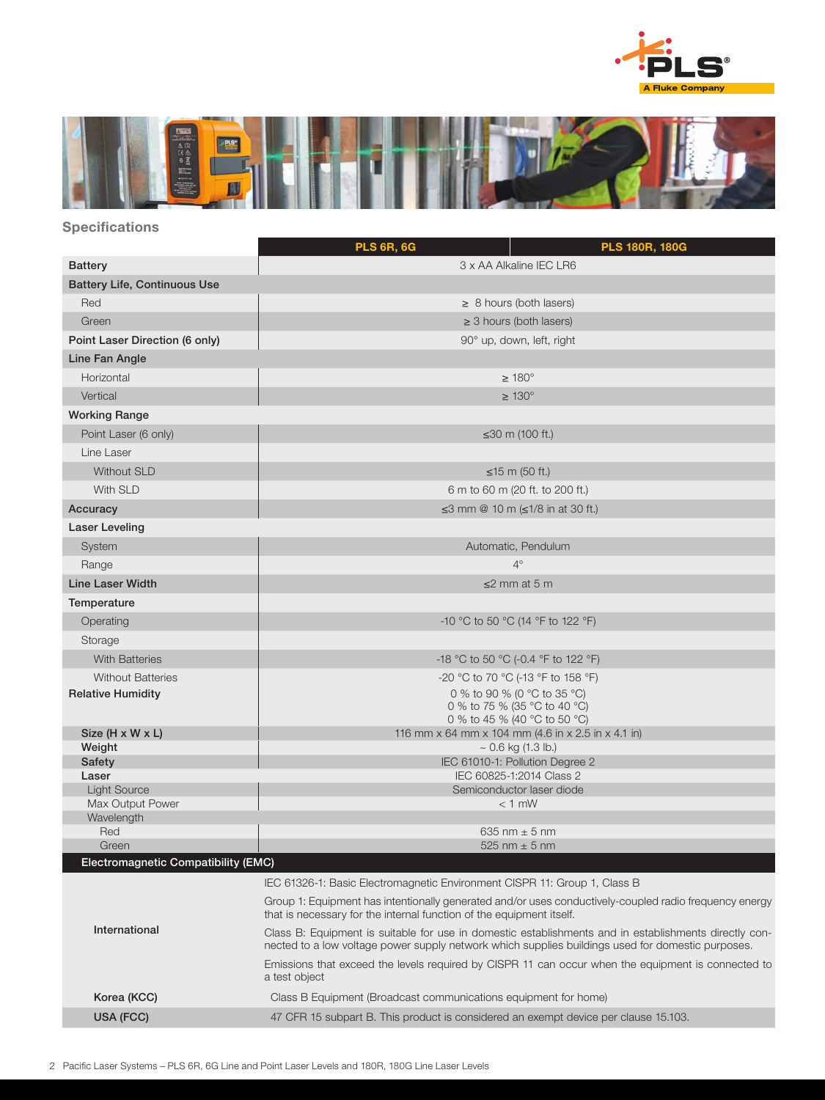



## **Specifications**

|                                     | <b>PLS 6R, 6G</b><br><b>PLS 180R, 180G</b>                                                                                                                                                                 |  |  |  |
|-------------------------------------|------------------------------------------------------------------------------------------------------------------------------------------------------------------------------------------------------------|--|--|--|
| <b>Battery</b>                      | 3 x AA Alkaline IEC LR6                                                                                                                                                                                    |  |  |  |
| <b>Battery Life, Continuous Use</b> |                                                                                                                                                                                                            |  |  |  |
| Red                                 | $\geq$ 8 hours (both lasers)                                                                                                                                                                               |  |  |  |
| Green                               | $\geq$ 3 hours (both lasers)                                                                                                                                                                               |  |  |  |
| Point Laser Direction (6 only)      | 90° up, down, left, right                                                                                                                                                                                  |  |  |  |
| Line Fan Angle                      |                                                                                                                                                                                                            |  |  |  |
| Horizontal                          | $\geq 180^\circ$                                                                                                                                                                                           |  |  |  |
| Vertical                            | $\geq 130^\circ$                                                                                                                                                                                           |  |  |  |
| <b>Working Range</b>                |                                                                                                                                                                                                            |  |  |  |
| Point Laser (6 only)                | ≤30 m (100 ft.)                                                                                                                                                                                            |  |  |  |
| Line Laser                          |                                                                                                                                                                                                            |  |  |  |
| <b>Without SLD</b>                  | ≤15 m (50 ft.)                                                                                                                                                                                             |  |  |  |
| With SLD                            | 6 m to 60 m (20 ft. to 200 ft.)                                                                                                                                                                            |  |  |  |
| Accuracy                            | ≤3 mm @ 10 m (≤1/8 in at 30 ft.)                                                                                                                                                                           |  |  |  |
| Laser Leveling                      |                                                                                                                                                                                                            |  |  |  |
| System                              | Automatic, Pendulum                                                                                                                                                                                        |  |  |  |
| Range                               | $4^\circ$                                                                                                                                                                                                  |  |  |  |
| <b>Line Laser Width</b>             | $\leq$ 2 mm at 5 m                                                                                                                                                                                         |  |  |  |
|                                     |                                                                                                                                                                                                            |  |  |  |
| Temperature                         |                                                                                                                                                                                                            |  |  |  |
| Operating                           | -10 °C to 50 °C (14 °F to 122 °F)                                                                                                                                                                          |  |  |  |
| Storage                             |                                                                                                                                                                                                            |  |  |  |
| <b>With Batteries</b>               | -18 °C to 50 °C (-0.4 °F to 122 °F)                                                                                                                                                                        |  |  |  |
| <b>Without Batteries</b>            | -20 °C to 70 °C (-13 °F to 158 °F)                                                                                                                                                                         |  |  |  |
| <b>Relative Humidity</b>            | 0 % to 90 % (0 °C to 35 °C)<br>0 % to 75 % (35 °C to 40 °C)                                                                                                                                                |  |  |  |
|                                     | 0 % to 45 % (40 °C to 50 °C)                                                                                                                                                                               |  |  |  |
| Size (H x W x L)                    | 116 mm x 64 mm x 104 mm (4.6 in x 2.5 in x 4.1 in)                                                                                                                                                         |  |  |  |
| Weight<br>Safety                    | $\sim$ 0.6 kg (1.3 lb.)<br>IEC 61010-1: Pollution Degree 2                                                                                                                                                 |  |  |  |
| Laser                               | IEC 60825-1:2014 Class 2                                                                                                                                                                                   |  |  |  |
| <b>Light Source</b>                 | Semiconductor laser diode                                                                                                                                                                                  |  |  |  |
| Max Output Power<br>Wavelength      | $< 1$ mW                                                                                                                                                                                                   |  |  |  |
| Red                                 | 635 nm $\pm$ 5 nm                                                                                                                                                                                          |  |  |  |
| Green                               | 525 nm $\pm$ 5 nm                                                                                                                                                                                          |  |  |  |
| Electromagnetic Compatibility (EMC) |                                                                                                                                                                                                            |  |  |  |
|                                     | IEC 61326-1: Basic Electromagnetic Environment CISPR 11: Group 1, Class B                                                                                                                                  |  |  |  |
|                                     | Group 1: Equipment has intentionally generated and/or uses conductively-coupled radio frequency energy<br>that is necessary for the internal function of the equipment itself.                             |  |  |  |
| International                       | Class B: Equipment is suitable for use in domestic establishments and in establishments directly con-<br>nected to a low voltage power supply network which supplies buildings used for domestic purposes. |  |  |  |
|                                     | Emissions that exceed the levels required by CISPR 11 can occur when the equipment is connected to<br>a test object                                                                                        |  |  |  |
| Korea (KCC)                         | Class B Equipment (Broadcast communications equipment for home)                                                                                                                                            |  |  |  |
| USA (FCC)                           | 47 CFR 15 subpart B. This product is considered an exempt device per clause 15.103.                                                                                                                        |  |  |  |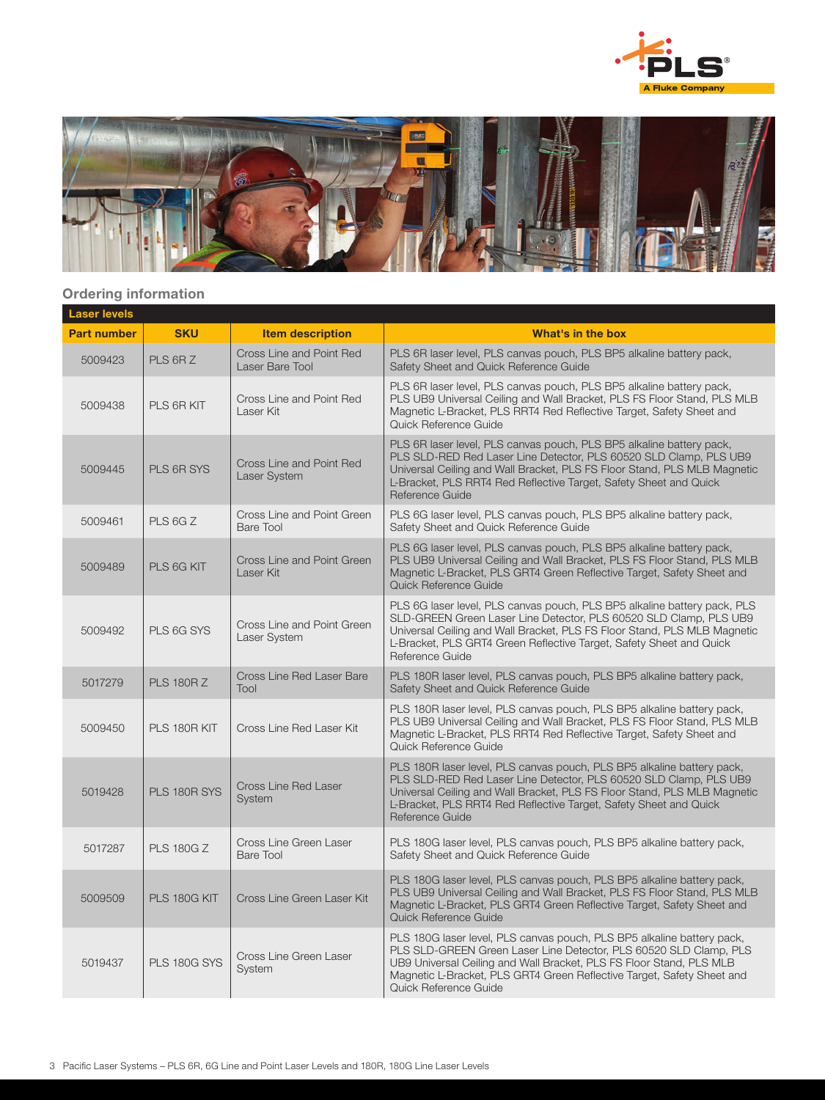



#### Ordering information

| <b>Laser levels</b> |                     |                                             |                                                                                                                                                                                                                                                                                                                       |  |  |  |
|---------------------|---------------------|---------------------------------------------|-----------------------------------------------------------------------------------------------------------------------------------------------------------------------------------------------------------------------------------------------------------------------------------------------------------------------|--|--|--|
| <b>Part number</b>  | <b>SKU</b>          | <b>Item description</b>                     | What's in the box                                                                                                                                                                                                                                                                                                     |  |  |  |
| 5009423             | PLS 6R Z            | Cross Line and Point Red<br>Laser Bare Tool | PLS 6R laser level, PLS canvas pouch, PLS BP5 alkaline battery pack,<br>Safety Sheet and Quick Reference Guide                                                                                                                                                                                                        |  |  |  |
| 5009438             | PLS 6R KIT          | Cross Line and Point Red<br>Laser Kit       | PLS 6R laser level, PLS canvas pouch, PLS BP5 alkaline battery pack,<br>PLS UB9 Universal Ceiling and Wall Bracket, PLS FS Floor Stand, PLS MLB<br>Magnetic L-Bracket, PLS RRT4 Red Reflective Target, Safety Sheet and<br>Quick Reference Guide                                                                      |  |  |  |
| 5009445             | PLS 6R SYS          | Cross Line and Point Red<br>Laser System    | PLS 6R laser level, PLS canvas pouch, PLS BP5 alkaline battery pack,<br>PLS SLD-RED Red Laser Line Detector, PLS 60520 SLD Clamp, PLS UB9<br>Universal Ceiling and Wall Bracket, PLS FS Floor Stand, PLS MLB Magnetic<br>L-Bracket, PLS RRT4 Red Reflective Target, Safety Sheet and Quick<br>Reference Guide         |  |  |  |
| 5009461             | PLS 6GZ             | Cross Line and Point Green<br>Bare Tool     | PLS 6G laser level, PLS canvas pouch, PLS BP5 alkaline battery pack,<br>Safety Sheet and Quick Reference Guide                                                                                                                                                                                                        |  |  |  |
| 5009489             | PLS 6G KIT          | Cross Line and Point Green<br>Laser Kit     | PLS 6G laser level, PLS canvas pouch, PLS BP5 alkaline battery pack,<br>PLS UB9 Universal Ceiling and Wall Bracket, PLS FS Floor Stand, PLS MLB<br>Magnetic L-Bracket, PLS GRT4 Green Reflective Target, Safety Sheet and<br>Quick Reference Guide                                                                    |  |  |  |
| 5009492             | PLS 6G SYS          | Cross Line and Point Green<br>Laser System  | PLS 6G laser level, PLS canvas pouch, PLS BP5 alkaline battery pack, PLS<br>SLD-GREEN Green Laser Line Detector, PLS 60520 SLD Clamp, PLS UB9<br>Universal Ceiling and Wall Bracket, PLS FS Floor Stand, PLS MLB Magnetic<br>L-Bracket, PLS GRT4 Green Reflective Target, Safety Sheet and Quick<br>Reference Guide   |  |  |  |
| 5017279             | <b>PLS 180R Z</b>   | Cross Line Red Laser Bare<br>Tool           | PLS 180R laser level, PLS canvas pouch, PLS BP5 alkaline battery pack,<br>Safety Sheet and Quick Reference Guide                                                                                                                                                                                                      |  |  |  |
| 5009450             | PLS 180R KIT        | Cross Line Red Laser Kit                    | PLS 180R laser level, PLS canvas pouch, PLS BP5 alkaline battery pack,<br>PLS UB9 Universal Ceiling and Wall Bracket, PLS FS Floor Stand, PLS MLB<br>Magnetic L-Bracket, PLS RRT4 Red Reflective Target, Safety Sheet and<br>Quick Reference Guide                                                                    |  |  |  |
| 5019428             | PLS 180R SYS        | <b>Cross Line Red Laser</b><br>System       | PLS 180R laser level, PLS canvas pouch, PLS BP5 alkaline battery pack,<br>PLS SLD-RED Red Laser Line Detector, PLS 60520 SLD Clamp, PLS UB9<br>Universal Ceiling and Wall Bracket, PLS FS Floor Stand, PLS MLB Magnetic<br>L-Bracket, PLS RRT4 Red Reflective Target, Safety Sheet and Quick<br>Reference Guide       |  |  |  |
| 5017287             | <b>PLS 180G Z</b>   | Cross Line Green Laser<br>Bare Tool         | PLS 180G laser level, PLS canvas pouch, PLS BP5 alkaline battery pack,<br>Safety Sheet and Quick Reference Guide                                                                                                                                                                                                      |  |  |  |
| 5009509             | PLS 180G KIT        | Cross Line Green Laser Kit                  | PLS 180G laser level, PLS canvas pouch, PLS BP5 alkaline battery pack,<br>PLS UB9 Universal Ceiling and Wall Bracket, PLS FS Floor Stand, PLS MLB<br>Magnetic L-Bracket, PLS GRT4 Green Reflective Target, Safety Sheet and<br>Quick Reference Guide                                                                  |  |  |  |
| 5019437             | <b>PLS 180G SYS</b> | Cross Line Green Laser<br>System            | PLS 180G laser level, PLS canvas pouch, PLS BP5 alkaline battery pack,<br>PLS SLD-GREEN Green Laser Line Detector, PLS 60520 SLD Clamp, PLS<br>UB9 Universal Ceiling and Wall Bracket, PLS FS Floor Stand, PLS MLB<br>Magnetic L-Bracket, PLS GRT4 Green Reflective Target, Safety Sheet and<br>Quick Reference Guide |  |  |  |